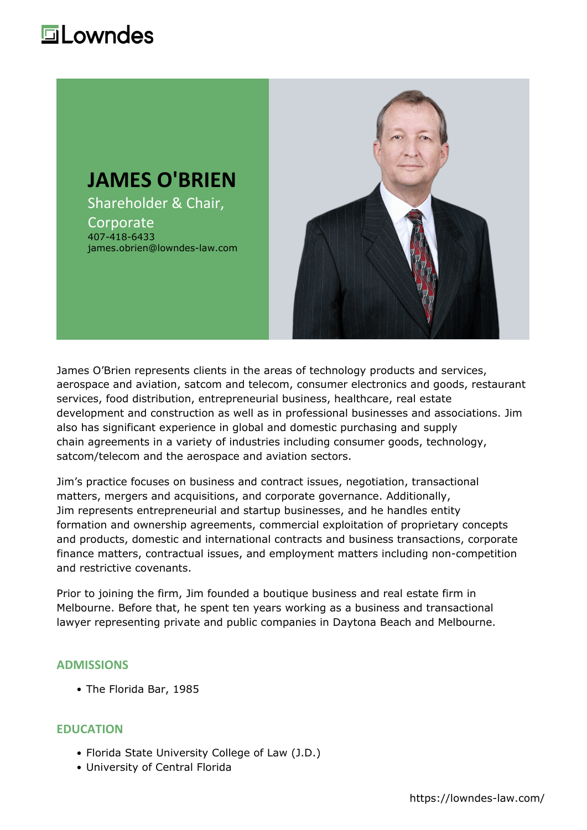## **Lowndes**



James O'Brien represents clients in the areas of [technology](https://lowndes-law.com/services-and-industries/industries/technology/) products and services, aerospace and [aviation,](https://lowndes-law.com/services-and-industries/industries/aviation-aerospace/) satcom and telecom, consumer electronics and goods, [restaurant](https://lowndes-law.com/services-and-industries/industries/restaurant-services/) [services](https://lowndes-law.com/services-and-industries/industries/restaurant-services/), food distribution, entrepreneurial business, [healthcare,](https://lowndes-law.com/services-and-industries/industries/healthcare/) [real estate](https://lowndes-law.com/services-details/group/Real-Estate-Development) [development](https://lowndes-law.com/services-details/group/Real-Estate-Development) and [construction](https://lowndes-law.com/services-and-industries/industries/construction/) as well as in professional businesses and associations. Jim also has significant experience in global and domestic purchasing and [supply](https://lowndes-law.com/services-and-industries/services/supply-chain-management/) [chain](https://lowndes-law.com/services-and-industries/services/supply-chain-management/) agreements in a variety of industries including consumer goods, technology, satcom/telecom and the aerospace and aviation sectors.

Jim's practice focuses on business and contract issues, negotiation, transactional matters, [mergers and acquisitions](https://lowndes-law.com/services-and-industries/services/mergers-acquisitions-divestitures/), and [corporate governance](https://lowndes-law.com/services-and-industries/services/corporate-securities/). Additionally, Jim represents entrepreneurial and startup businesses, and he handles entity formation and ownership agreements, commercial exploitation of proprietary concepts and products, domestic and international contracts and business transactions, corporate finance matters, contractual issues, and employment matters including non-competition and restrictive covenants.

Prior to joining the firm, Jim founded a boutique business and real estate firm in Melbourne. Before that, he spent ten years working as a business and transactional lawyer representing private and public companies in Daytona Beach and Melbourne.

#### **ADMISSIONS**

The Florida Bar, 1985

#### **EDUCATION**

- Florida State University College of Law (J.D.)
- University of Central Florida